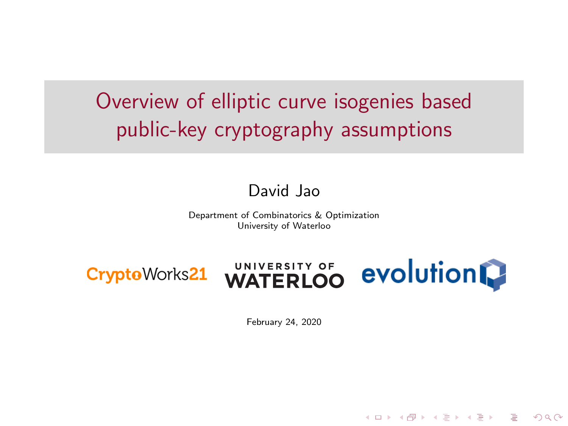<span id="page-0-0"></span>Overview of elliptic curve isogenies based public-key cryptography assumptions

#### David Jao

Department of Combinatorics & Optimization University of Waterloo







KEE KARE KEE KE WAN

February 24, 2020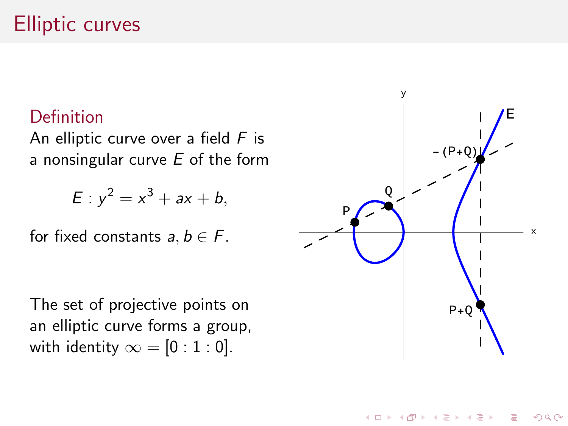## Elliptic curves

#### Definition

An elliptic curve over a field  $F$  is a nonsingular curve  $E$  of the form

$$
E: y^2 = x^3 + ax + b,
$$

for fixed constants  $a, b \in F$ .

The set of projective points on an elliptic curve forms a group, with identity  $\infty = [0:1:0]$ .



 $4$  ロ )  $4$  何 )  $4$  ミ )  $4$   $3$   $\rightarrow$ 

 $2Q$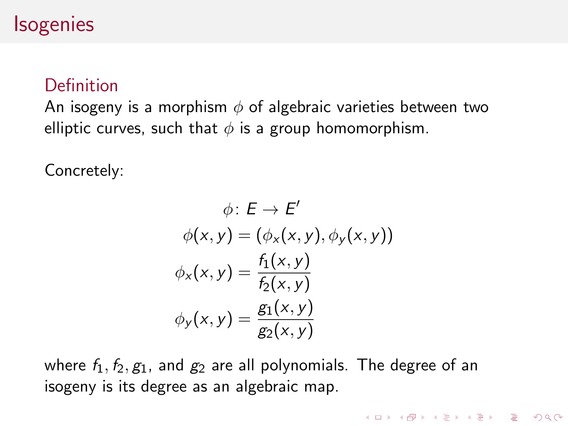#### **Isogenies**

#### Definition

An isogeny is a morphism  $\phi$  of algebraic varieties between two elliptic curves, such that  $\phi$  is a group homomorphism.

Concretely:

$$
\phi: E \to E'
$$
  
\n
$$
\phi(x, y) = (\phi_x(x, y), \phi_y(x, y))
$$
  
\n
$$
\phi_x(x, y) = \frac{f_1(x, y)}{f_2(x, y)}
$$
  
\n
$$
\phi_y(x, y) = \frac{g_1(x, y)}{g_2(x, y)}
$$

**KOD KARD KED KED E VOOR** 

where  $f_1, f_2, g_1$ , and  $g_2$  are all polynomials. The degree of an isogeny is its degree as an algebraic map.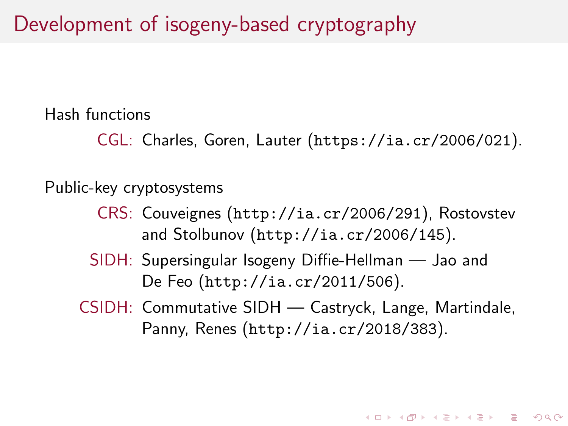Hash functions

CGL: Charles, Goren, Lauter (<https://ia.cr/2006/021>).

Public-key cryptosystems

- CRS: Couveignes (<http://ia.cr/2006/291>), Rostovstev and Stolbunov (<http://ia.cr/2006/145>).
- SIDH: Supersingular Isogeny Diffie-Hellman Jao and De Feo (<http://ia.cr/2011/506>).
- CSIDH: Commutative SIDH Castryck, Lange, Martindale, Panny, Renes (<http://ia.cr/2018/383>).

**KORKAR KERKER DRAM**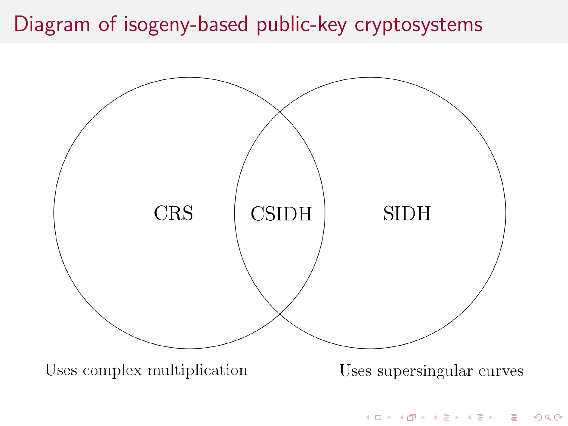## Diagram of isogeny-based public-key cryptosystems

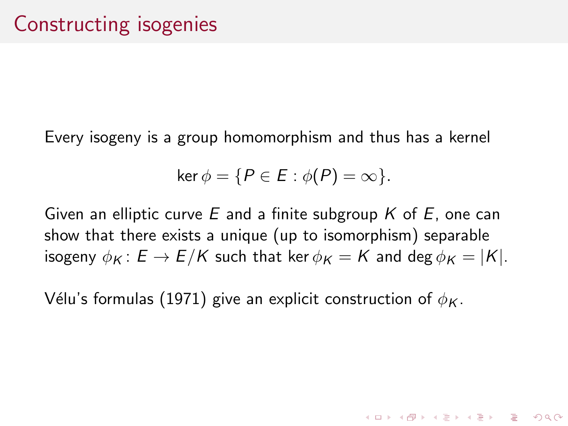Every isogeny is a group homomorphism and thus has a kernel

$$
\ker \phi = \{ P \in E : \phi(P) = \infty \}.
$$

Given an elliptic curve E and a finite subgroup  $K$  of E, one can show that there exists a unique (up to isomorphism) separable isogeny  $\phi_K : E \to E/K$  such that ker  $\phi_K = K$  and deg  $\phi_K = |K|$ .

**KORKAR KERKER DRAM** 

Vélu's formulas (1971) give an explicit construction of  $\phi_K$ .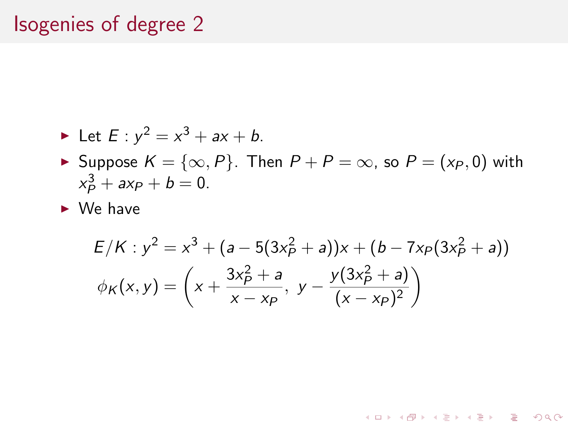### Isogenies of degree 2

• Let 
$$
E: y^2 = x^3 + ax + b
$$
.

- ► Suppose  $K = \{ \infty, P \}$ . Then  $P + P = \infty$ , so  $P = (x_P, 0)$  with  $x_P^3 + ax_P + b = 0.$
- $\triangleright$  We have

$$
E/K: y^{2} = x^{3} + (a - 5(3x_{P}^{2} + a))x + (b - 7x_{P}(3x_{P}^{2} + a))
$$
  

$$
\phi_{K}(x, y) = \left(x + \frac{3x_{P}^{2} + a}{x - x_{P}}, y - \frac{y(3x_{P}^{2} + a)}{(x - x_{P})^{2}}\right)
$$

K ロ ▶ K @ ▶ K 할 ▶ K 할 ▶ | 할 | © 9 Q @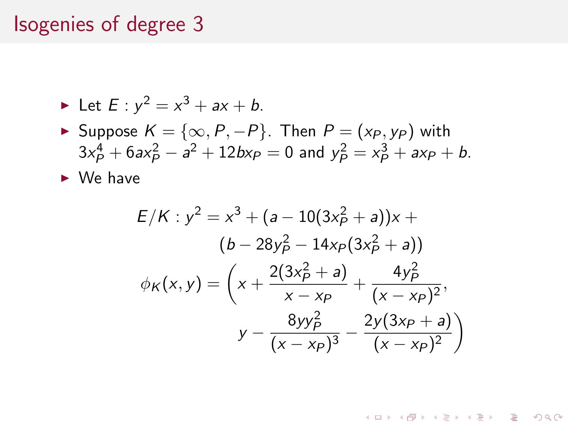#### Isogenies of degree 3

• Let 
$$
E: y^2 = x^3 + ax + b
$$
.

► Suppose  $K = \{\infty, P, -P\}$ . Then  $P = (x_P, y_P)$  with  $3x_P^4 + 6ax_P^2 - a^2 + 12bx_P = 0$  and  $y_P^2 = x_P^3 + ax_P + b$ .

 $\triangleright$  We have

$$
E/K: y^{2} = x^{3} + (a - 10(3x_{P}^{2} + a))x + (b - 28y_{P}^{2} - 14xp(3x_{P}^{2} + a))
$$
  

$$
\phi_{K}(x, y) = \left(x + \frac{2(3x_{P}^{2} + a)}{x - xp} + \frac{4y_{P}^{2}}{(x - xp)^{2}}, \frac{8yy_{P}^{2}}{(x - xp)^{3}} - \frac{2y(3x_{P} + a)}{(x - xp)^{2}}\right)
$$

KEE KARE KEE KE WAN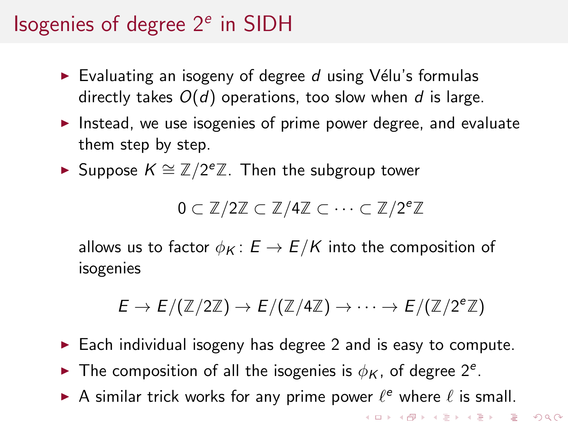# Isogenies of degree 2<sup>e</sup> in SIDH

- Evaluating an isogeny of degree  $d$  using Vélu's formulas directly takes  $O(d)$  operations, too slow when d is large.
- Instead, we use isogenies of prime power degree, and evaluate them step by step.
- ► Suppose  $K \cong \mathbb{Z}/2^e\mathbb{Z}$ . Then the subgroup tower

$$
0\subset \mathbb{Z}/2\mathbb{Z}\subset \mathbb{Z}/4\mathbb{Z}\subset \cdots \subset \mathbb{Z}/2^e\mathbb{Z}
$$

allows us to factor  $\phi_K : E \to E/K$  into the composition of isogenies

$$
E \to E/(\mathbb{Z}/2\mathbb{Z}) \to E/(\mathbb{Z}/4\mathbb{Z}) \to \cdots \to E/(\mathbb{Z}/2^e\mathbb{Z})
$$

- $\triangleright$  Each individual isogeny has degree 2 and is easy to compute.
- The composition of all the isogenies is  $\phi_K$ , of degree  $2^e$ .
- A similar trick works for any prime power  $\ell^e$  where  $\ell$  is small.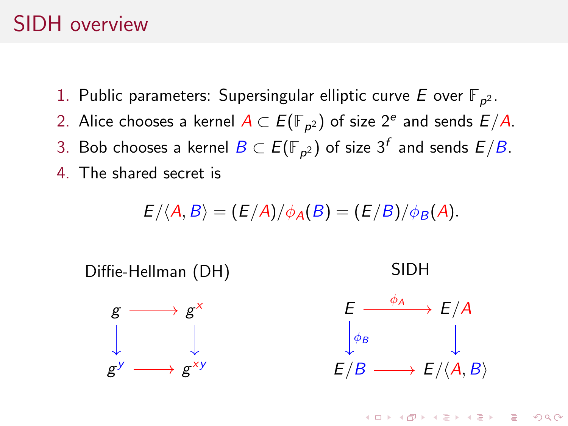#### <span id="page-9-0"></span>SIDH overview

- 1. Public parameters: Supersingular elliptic curve  $E$  over  $\mathbb{F}_{p^2}.$
- 2. Alice chooses a kernel  $A\subset E(\mathbb{F}_{\rho^2})$  of size 2<sup>e</sup> and sends  $E/A.$
- 3. Bob chooses a kernel  $B\subset E(\mathbb{F}_{p^2})$  of size  $3^f$  and sends  $E/B.$
- 4. The shared secret is

$$
E/\langle A, B\rangle = (E/A)/\phi_A(B) = (E/B)/\phi_B(A).
$$

Diffie-Hellman (DH)

x

 $g \longrightarrow g$ 

 $y \longrightarrow g$ 

g





**KORK EXTERNE PROVIDE** 

SIDH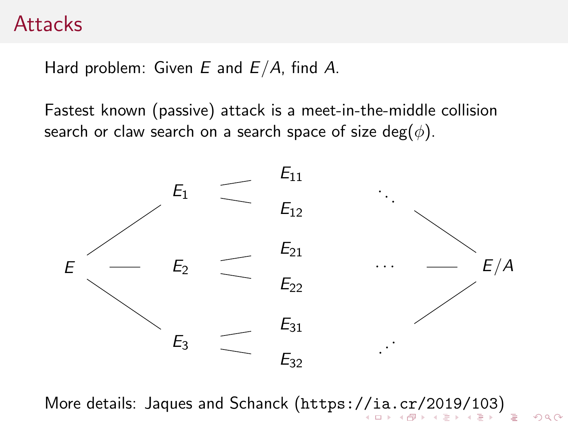#### <span id="page-10-0"></span>**Attacks**

Hard problem: Given  $E$  and  $E/A$ , find  $A$ .

Fastest known (passive) attack is a meet-in-the-middle collision search or claw search on a search space of size deg( $\phi$ ).



More details: Jaques and Schanck (<https://ia.cr/2019/103>[\)](#page-0-0)

 $299$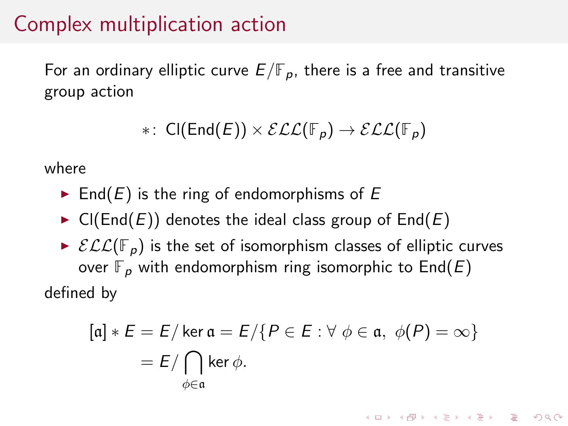## <span id="page-11-0"></span>Complex multiplication action

For an ordinary elliptic curve  $E/\mathbb{F}_p$ , there is a free and transitive group action

$$
*\colon\thinspace \mathsf{Cl}(\mathsf{End}(E))\times \mathcal{ELC}(\mathbb{F}_p)\to \mathcal{ELC}(\mathbb{F}_p)
$$

where

- $\blacktriangleright$  End(E) is the ring of endomorphisms of E
- $\triangleright$  Cl(End(E)) denotes the ideal class group of End(E)
- $\triangleright$   $\mathcal{ELL}(\mathbb{F}_{p})$  is the set of isomorphism classes of elliptic curves over  $\mathbb{F}_p$  with endomorphism ring isomorphic to  $\text{End}(E)$ defined by

$$
[\mathfrak{a}] * E = E / \ker \mathfrak{a} = E / \{P \in E : \forall \phi \in \mathfrak{a}, \phi(P) = \infty\}
$$

$$
= E / \bigcap_{\phi \in \mathfrak{a}} \ker \phi.
$$

**K ロ X (日) X 제공 X 제공 X 기능 및 10 이익(예)**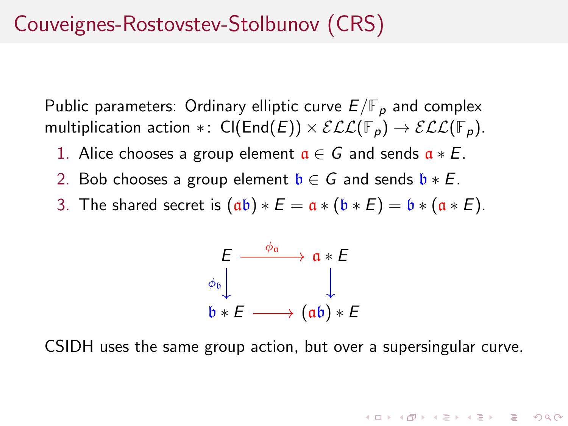## Couveignes-Rostovstev-Stolbunov (CRS)

Public parameters: Ordinary elliptic curve  $E/\mathbb{F}_p$  and complex multiplication action ∗:  $\text{Cl}(\text{End}(E)) \times \mathcal{ELL}(\mathbb{F}_p) \to \mathcal{ELL}(\mathbb{F}_p)$ .

- 1. Alice chooses a group element  $a \in G$  and sends  $a * E$ .
- 2. Bob chooses a group element  $\mathfrak{b} \in G$  and sends  $\mathfrak{b} * E$ .
- 3. The shared secret is  $(a\mathfrak{b}) * E = \mathfrak{a} * (\mathfrak{b} * E) = \mathfrak{b} * (\mathfrak{a} * E)$ .

$$
\begin{array}{ccc}\nE & \xrightarrow{\phi_{\mathfrak{a}}} & \mathfrak{a} * E \\
\downarrow & & \downarrow \\
\mathfrak{b} * E & \xrightarrow{\mathfrak{a} * \mathfrak{b}} (\mathfrak{a} \mathfrak{b}) * E\n\end{array}
$$

CSIDH uses the same group action, but over a supersingular curve.

**KORK EXTERNE PROVIDE**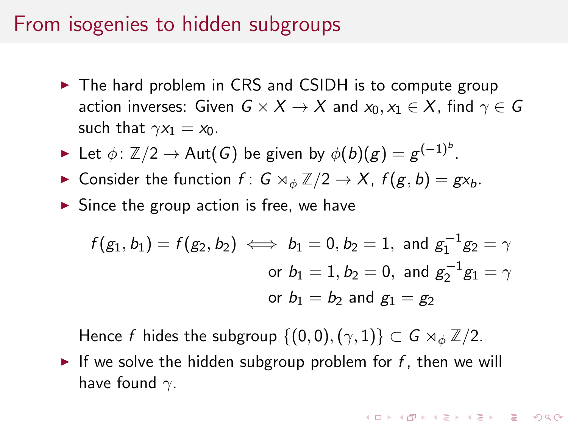#### From isogenies to hidden subgroups

- $\triangleright$  The hard problem in CRS and CSIDH is to compute group action inverses: Given  $G \times X \rightarrow X$  and  $x_0, x_1 \in X$ , find  $\gamma \in G$ such that  $\gamma x_1 = x_0$ .
- ► Let  $\phi\colon \mathbb{Z}/2\to \operatorname{\mathsf{Aut}}(G)$  be given by  $\phi(b)(g)=g^{(-1)^b}.$
- **Consider the function f:** G  $\rtimes_{\phi} \mathbb{Z}/2 \to X$ ,  $f(g, b) = gx_b$ .
- $\triangleright$  Since the group action is free, we have

$$
f(g_1, b_1) = f(g_2, b_2) \iff b_1 = 0, b_2 = 1, \text{ and } g_1^{-1}g_2 = \gamma
$$
  
or  $b_1 = 1, b_2 = 0$ , and  $g_2^{-1}g_1 = \gamma$   
or  $b_1 = b_2$  and  $g_1 = g_2$ 

Hence f hides the subgroup  $\{(0,0),(\gamma,1)\}\subset G\rtimes_{\phi}\mathbb{Z}/2$ .

If we solve the hidden subgroup problem for  $f$ , then we will have found  $\gamma$ .

**KORKAR KERKER EL POLO**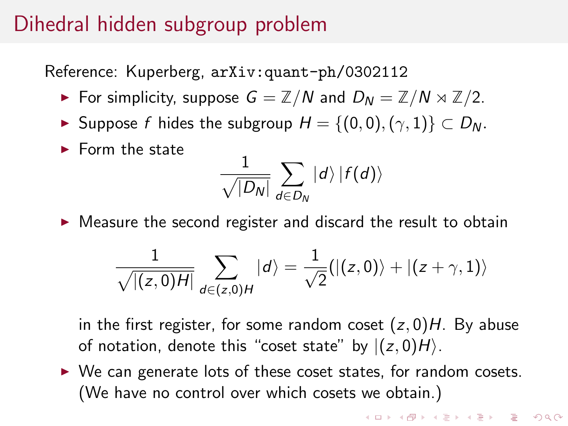## <span id="page-14-0"></span>Dihedral hidden subgroup problem

Reference: Kuperberg, [arXiv:quant-ph/0302112](https://arxiv.org/abs/quant-ph/0302112)

- For simplicity, suppose  $G = \mathbb{Z}/N$  and  $D_N = \mathbb{Z}/N \rtimes \mathbb{Z}/2$ .
- ► Suppose f hides the subgroup  $H = \{(0,0), (\gamma,1)\} \subset D_N$ .
- $\blacktriangleright$  Form the state

$$
\frac{1}{\sqrt{|D_{\sf N}|}}\sum_{d\in D_{\sf N}}\ket{d}\ket{f(d)}
$$

 $\triangleright$  Measure the second register and discard the result to obtain

$$
\frac{1}{\sqrt{|(z,0)H|}}\sum_{d\in(z,0)H}|d\rangle=\frac{1}{\sqrt{2}}(|(z,0)\rangle+|(z+\gamma,1)\rangle
$$

in the first register, for some random coset  $(z, 0)H$ . By abuse of notation, denote this "coset state" by  $|(z, 0)H\rangle$ .

 $\triangleright$  We can generate lots of these coset states, for random cosets. (We have no control over which cosets we obtain.)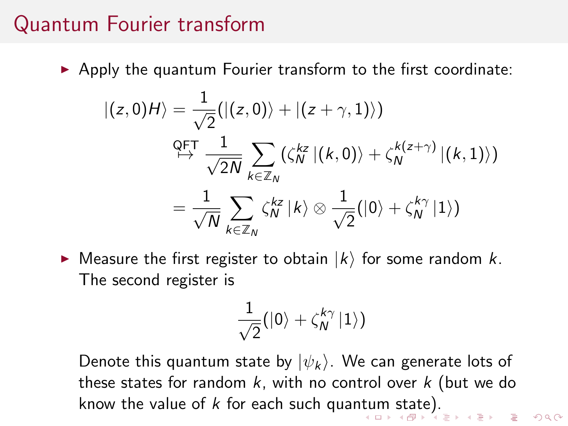#### <span id="page-15-0"></span>Quantum Fourier transform

 $\triangleright$  Apply the quantum Fourier transform to the first coordinate:

$$
\begin{aligned} |(z,0)H\rangle &= \frac{1}{\sqrt{2}}(|(z,0)\rangle + |(z+\gamma,1)\rangle) \\ &\xrightarrow{\text{QFT}} \frac{1}{\sqrt{2N}} \sum_{k \in \mathbb{Z}_N} (\zeta_N^{kz} |(k,0)\rangle + \zeta_N^{k(z+\gamma)} |(k,1)\rangle) \\ &= \frac{1}{\sqrt{N}} \sum_{k \in \mathbb{Z}_N} \zeta_N^{kz} |k\rangle \otimes \frac{1}{\sqrt{2}}(|0\rangle + \zeta_N^{k\gamma} |1\rangle) \end{aligned}
$$

 $\blacktriangleright$  Measure the first register to obtain  $|k\rangle$  for some random k. The second register is

$$
\frac{1}{\sqrt{2}}(\ket{0} + \zeta_{\textbf{N}}^{k\gamma}\ket{1})
$$

Denote this quantum state by  $|\psi_k\rangle$ . We can generate lots of these states for random  $k$ , with no control over  $k$  (but we do know the value of k for each such quan[tu](#page-14-0)[m](#page-16-0) [s](#page-14-0)[tat](#page-15-0)[e](#page-16-0)[\).](#page-0-0)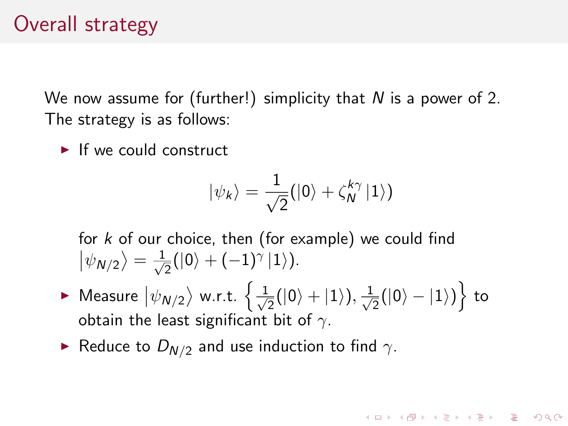## <span id="page-16-0"></span>Overall strategy

We now assume for (further!) simplicity that  $N$  is a power of 2. The strategy is as follows:

 $\blacktriangleright$  If we could construct

$$
|\psi_k\rangle = \frac{1}{\sqrt{2}}(|0\rangle + \zeta_N^{k\gamma} |1\rangle)
$$

**KORKAR KERKER EL POLO** 

for  $k$  of our choice, then (for example) we could find  $|\psi_{N/2}\rangle = \frac{1}{\sqrt{2}}$  $\frac{1}{2}(|0\rangle+(-1)^{\gamma}\,|1\rangle).$ 

- $\blacktriangleright$  Measure  $\Ket{\psi_{\textsf{N}/2}}$  w.r.t.  $\left\{\frac{1}{\sqrt{2}}\right\}$  $\frac{1}{2}(|0\rangle+|1\rangle), \frac{1}{\sqrt{2}}$  $\frac{1}{2}(|0\rangle-|1\rangle)\Big\}$  to obtain the least significant bit of  $\gamma$ .
- Reduce to  $D_{N/2}$  and use induction to find  $\gamma$ .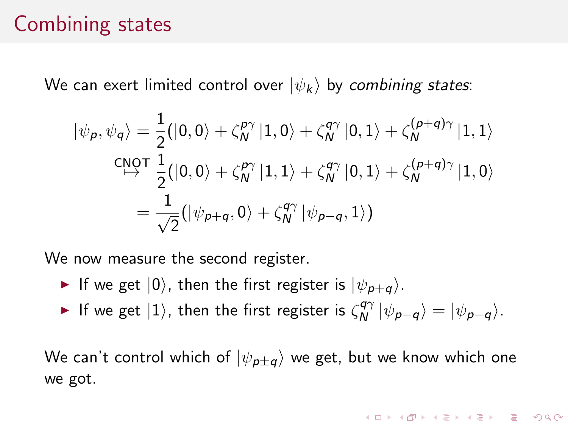### Combining states

We can exert limited control over  $|\psi_k\rangle$  by combining states:

$$
|\psi_p, \psi_q\rangle = \frac{1}{2}(|0,0\rangle + \zeta_N^{p\gamma} |1,0\rangle + \zeta_N^{q\gamma} |0,1\rangle + \zeta_N^{(p+q)\gamma} |1,1\rangle
$$
  
\n
$$
\xrightarrow{\text{CNOT}} \frac{1}{2}(|0,0\rangle + \zeta_N^{p\gamma} |1,1\rangle + \zeta_N^{q\gamma} |0,1\rangle + \zeta_N^{(p+q)\gamma} |1,0\rangle
$$
  
\n
$$
= \frac{1}{\sqrt{2}}(|\psi_{p+q},0\rangle + \zeta_N^{q\gamma} |\psi_{p-q},1\rangle)
$$

We now measure the second register.

- If we get  $|0\rangle$ , then the first register is  $|\psi_{\mathbf{p}+\mathbf{q}}\rangle$ .
- If we get  $|1\rangle$ , then the first register is  $\zeta_N^{q\gamma}$  $\begin{aligned} \mathcal{A}^{q\gamma} \ket{\psi_{p-q}} = \ket{\psi_{p-q}}. \end{aligned}$

We can't control which of  $|\psi_{p\pm q}\rangle$  we get, but we know which one we got.

**KORKAR KERKER EL POLO**